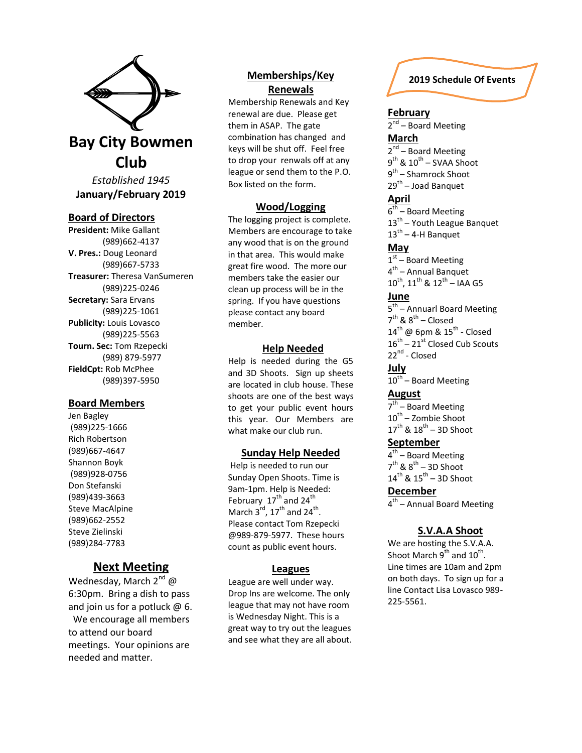

**January/February 2019**

### **Board of Directors**

**President:** Mike Gallant (989)662-4137 **V. Pres.:** Doug Leonard (989)667-5733 **Treasurer:** Theresa VanSumeren (989)225-0246 **Secretary:** Sara Ervans (989)225-1061 **Publicity:** Louis Lovasco (989)225-5563 **Tourn. Sec:** Tom Rzepecki (989) 879-5977 **FieldCpt:** Rob McPhee (989)397-5950

#### **Board Members**

Jen Bagley (989)225-1666 Rich Robertson (989)667-4647 Shannon Boyk (989)928-0756 Don Stefanski (989)439-3663 Steve MacAlpine (989)662-2552 Steve Zielinski (989)284-7783

# **Next Meeting**

Wednesday, March 2<sup>nd</sup> @ 6:30pm. Bring a dish to pass and join us for a potluck @ 6. We encourage all members to attend our board meetings. Your opinions are needed and matter.

# **Memberships/Key Renewals**

Membership Renewals and Key renewal are due. Please get them in ASAP. The gate combination has changed and keys will be shut off. Feel free to drop your renwals off at any league or send them to the P.O. Box listed on the form.

## **Wood/Logging**

The logging project is complete. Members are encourage to take any wood that is on the ground in that area. This would make great fire wood. The more our members take the easier our clean up process will be in the spring. If you have questions please contact any board member.

### **Help Needed**

Help is needed during the G5 and 3D Shoots. Sign up sheets are located in club house. These shoots are one of the best ways to get your public event hours this year. Our Members are what make our club run.

## **Sunday Help Needed**

Help is needed to run our Sunday Open Shoots. Time is 9am-1pm. Help is Needed: February  $17^{\text{th}}$  and  $24^{\text{th}}$ March 3<sup>rd</sup>, 17<sup>th</sup> and 24<sup>th</sup>. Please contact Tom Rzepecki @989-879-5977. These hours count as public event hours.

### **Leagues**

League are well under way. Drop Ins are welcome. The only league that may not have room is Wednesday Night. This is a great way to try out the leagues and see what they are all about.

## **2019 Schedule Of Events**

### **February**

2<sup>nd</sup> – Board Meeting **March** 2<sup>nd</sup> – Board Meeting  $9^{\text{th}}$  &  $10^{\text{th}}$  – SVAA Shoot 9<sup>th</sup> – Shamrock Shoot 29<sup>th</sup> – Joad Banquet

## **April**

6<sup>th</sup> – Board Meeting 13<sup>th</sup> – Youth League Banquet  $13^{\text{th}}$  – 4-H Banquet

### **May**

 $1<sup>st</sup>$  – Board Meeting 4<sup>th</sup> – Annual Banquet  $10^{\text{th}}$ ,  $11^{\text{th}}$  &  $12^{\text{th}}$  – IAA G5 **June** 5<sup>th</sup> – Annuarl Board Meeting  $7^{\text{th}}$  &  $8^{\text{th}}$  – Closed  $14^{\text{th}}$  @ 6pm &  $15^{\text{th}}$  - Closed

 $16^{th}$  –  $21^{st}$  Closed Cub Scouts 22<sup>nd</sup> - Closed

# **July**

10<sup>th</sup> – Board Meeting **August**

7<sup>th</sup> – Board Meeting 10<sup>th</sup> – Zombie Shoot  $17^{\text{th}}$  &  $18^{\text{th}}$  – 3D Shoot

# **September**

4<sup>th</sup> – Board Meeting  $7<sup>th</sup>$  &  $8<sup>th</sup> - 3D$  Shoot  $14^{\text{th}}$  &  $15^{\text{th}}$  – 3D Shoot

## **December**

4<sup>th</sup> – Annual Board Meeting

### **S.V.A.A Shoot**

We are hosting the S.V.A.A. Shoot March  $9^{th}$  and  $10^{th}$ . Line times are 10am and 2pm on both days. To sign up for a line Contact Lisa Lovasco 989- 225-5561.